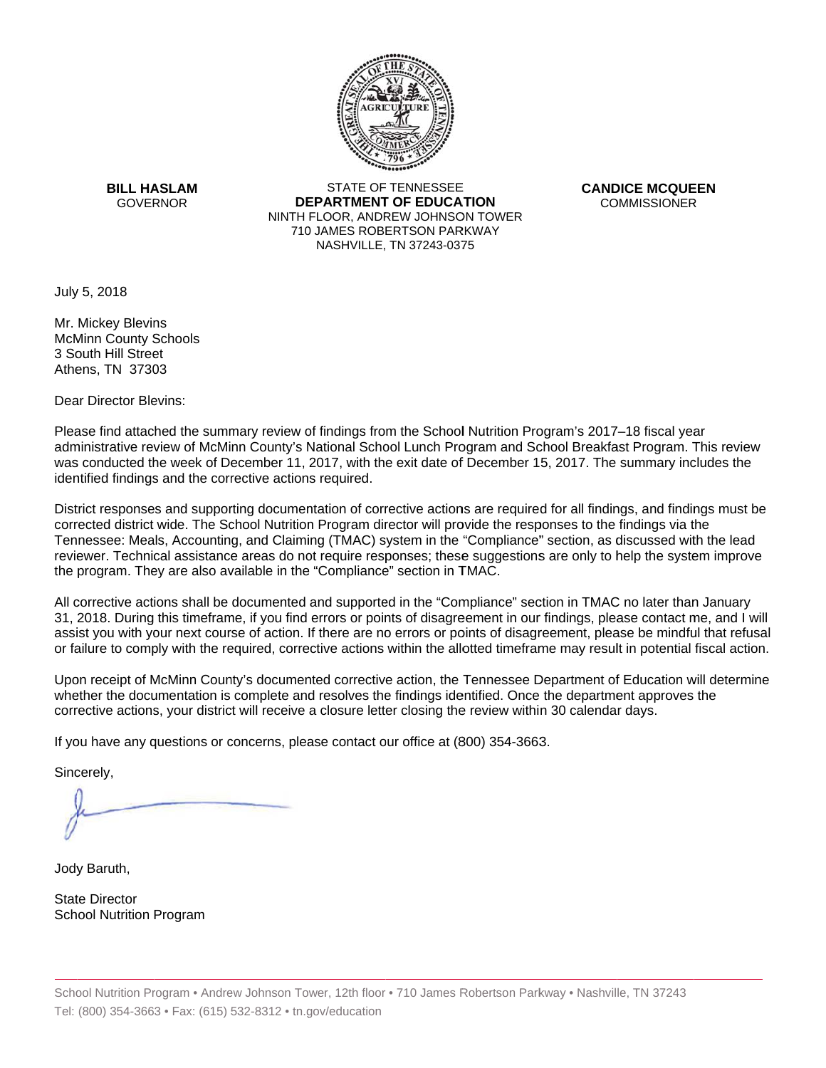

**BILL HASLAM** GOVERNOR **DEI** 

STATE OF TENNESSEE **EPARTMENT OF EDUCATION** NINTH FLOOR, ANDREW JOHNSON TOWER 710 JAMES ROBERTSON PARKWAY NASHVILLE,TN 37243-0375

**CANDICE MCQUEEN** CO OMMISSIONER

July 5, 2018

Mr. Mickey Blevins McMinn County Schools 3 South Hill Street Athens, TN 37303

Dear Director Blevins:

Please find attached the summary review of findings from the School Nutrition Program's 2017–18 fiscal year administrative review of McMinn County's National School Lunch Program and School Breakfast Program. This review was conducted the week of December 11, 2017, with the exit date of December 15, 2017. The summary includes the identified findings and the corrective actions required.

Tennessee: Meals, Accounting, and Claiming (TMAC) system in the "Compliance" section, as discussed with the lead District responses and supporting documentation of corrective actions are required for all findings, and findings must be corrected district wide. The School Nutrition Program director will provide the responses to the findings via the reviewer. Technical assistance areas do not require responses; these suggestions are only to help the system improve the program. They are also available in the "Compliance" section in TMAC.

All corrective actions shall be documented and supported in the "Compliance" section in TMAC no later than January 31, 2018. During this timeframe, if you find errors or points of disagreement in our findings, please contact me, and I will assist you with your next course of action. If there are no errors or points of disagreement, please be mindful that refusal or failure to comply with the required, corrective actions within the allotted timeframe may result in potential fiscal action.

Upon receipt of McMinn County's documented corrective action, the Tennessee Department of Education will determine whether the documentation is complete and resolves the findings identified. Once the department approves the corrective actions, your district will receive a closure letter closing the review within 30 calendar days.

If you have any questions or concerns, please contact our office at (800) 354-3663.

Sincerely,

Jody Baruth,

State Director School Nutrition Program